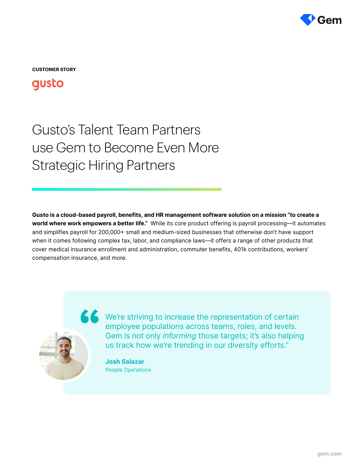

**CUSTOMER STORY**

## qusto

# Gusto's Talent Team Partners use Gem to Become Even More Strategic Hiring Partners

Gusto is a cloud-based payroll, benefits, and HR management software solution on a mission "to create a world where work empowers a better life." While its core product offering is payroll processing—it automates and simplifies payroll for 200,000+ small and medium-sized businesses that otherwise don't have support when it comes following complex tax, labor, and compliance laws—it offers a range of other products that cover medical insurance enrollment and administration, commuter benefits, 401k contributions, workers' compensation insurance, and more.



K We're striving to increase the representation of certain employee populations across teams, roles, and levels. Gem is not only informing those targets; it's also helping us track how we're trending in our diversity efforts."

> Josh Salazar People Operations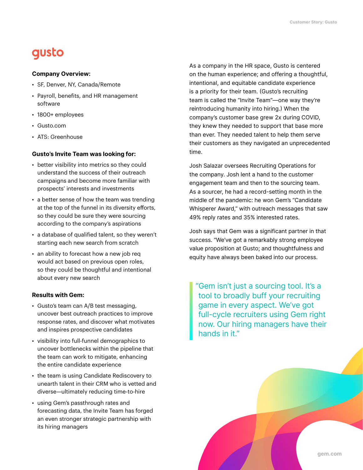## gusto

#### Company Overview:

- SF, Denver, NY, Canada/Remote
- Payroll, benefits, and HR management software
- 1800+ employees
- Gusto.com
- ATS: Greenhouse

#### Gusto's Invite Team was looking for:

- better visibility into metrics so they could understand the success of their outreach campaigns and become more familiar with prospects' interests and investments
- a better sense of how the team was trending at the top of the funnel in its diversity efforts, so they could be sure they were sourcing according to the company's aspirations
- a database of qualified talent, so they weren't starting each new search from scratch
- an ability to forecast how a new job req would act based on previous open roles, so they could be thoughtful and intentional about every new search

#### Results with Gem:

- Gusto's team can A/B test messaging, uncover best outreach practices to improve response rates, and discover what motivates and inspires prospective candidates
- visibility into full-funnel demographics to uncover bottlenecks within the pipeline that the team can work to mitigate, enhancing the entire candidate experience
- the team is using Candidate Rediscovery to unearth talent in their CRM who is vetted and diverse—ultimately reducing time-to-hire
- using Gem's passthrough rates and forecasting data, the Invite Team has forged an even stronger strategic partnership with its hiring managers

As a company in the HR space, Gusto is centered on the human experience; and offering a thoughtful, intentional, and equitable candidate experience is a priority for their team. (Gusto's recruiting team is called the "Invite Team"—one way they're reintroducing humanity into hiring.) When the company's customer base grew 2x during COVID, they knew they needed to support that base more than ever. They needed talent to help them serve their customers as they navigated an unprecedented time.

Josh Salazar oversees Recruiting Operations for the company. Josh lent a hand to the customer engagement team and then to the sourcing team. As a sourcer, he had a record-setting month in the middle of the pandemic: he won Gem's "Candidate Whisperer Award," with outreach messages that saw 49% reply rates and 35% interested rates.

Josh says that Gem was a significant partner in that success. "We've got a remarkably strong employee value proposition at Gusto; and thoughtfulness and equity have always been baked into our process.

"Gem isn't just a sourcing tool. It's a tool to broadly buff your recruiting game in every aspect. We've got full-cycle recruiters using Gem right now. Our hiring managers have their hands in it."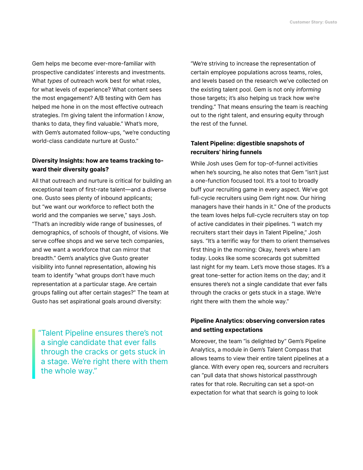Gem helps me become ever-more-familiar with prospective candidates' interests and investments. What types of outreach work best for what roles, for what levels of experience? What content sees the most engagement? A/B testing with Gem has helped me hone in on the most effective outreach strategies. I'm giving talent the information I know, thanks to data, they find valuable." What's more, with Gem's automated follow-ups, "we're conducting world-class candidate nurture at Gusto."

### Diversity Insights: how are teams tracking toward their diversity goals?

All that outreach and nurture is critical for building an exceptional team of first-rate talent—and a diverse one. Gusto sees plenty of inbound applicants; but "we want our workforce to reflect both the world and the companies we serve," says Josh. "That's an incredibly wide range of businesses, of demographics, of schools of thought, of visions. We serve coffee shops and we serve tech companies, and we want a workforce that can mirror that breadth." Gem's analytics give Gusto greater visibility into funnel representation, allowing his team to identify "what groups don't have much representation at a particular stage. Are certain groups falling out after certain stages?" The team at Gusto has set aspirational goals around diversity:

"Talent Pipeline ensures there's not a single candidate that ever falls through the cracks or gets stuck in a stage. We're right there with them the whole way."

"We're striving to increase the representation of certain employee populations across teams, roles, and levels based on the research we've collected on the existing talent pool. Gem is not only informing those targets; it's also helping us track how we're trending." That means ensuring the team is reaching out to the right talent, and ensuring equity through the rest of the funnel.

### Talent Pipeline: digestible snapshots of recruiters' hiring funnels

While Josh uses Gem for top-of-funnel activities when he's sourcing, he also notes that Gem "isn't just a one-function focused tool. It's a tool to broadly buff your recruiting game in every aspect. We've got full-cycle recruiters using Gem right now. Our hiring managers have their hands in it." One of the products the team loves helps full-cycle recruiters stay on top of active candidates in their pipelines. "I watch my recruiters start their days in Talent Pipeline," Josh says. "It's a terrific way for them to orient themselves first thing in the morning: Okay, here's where I am today. Looks like some scorecards got submitted last night for my team. Let's move those stages. It's a great tone-setter for action items on the day; and it ensures there's not a single candidate that ever falls through the cracks or gets stuck in a stage. We're right there with them the whole way."

### Pipeline Analytics: observing conversion rates and setting expectations

Moreover, the team "is delighted by" Gem's Pipeline Analytics, a module in Gem's Talent Compass that allows teams to view their entire talent pipelines at a glance. With every open req, sourcers and recruiters can "pull data that shows historical passthrough rates for that role. Recruiting can set a spot-on expectation for what that search is going to look